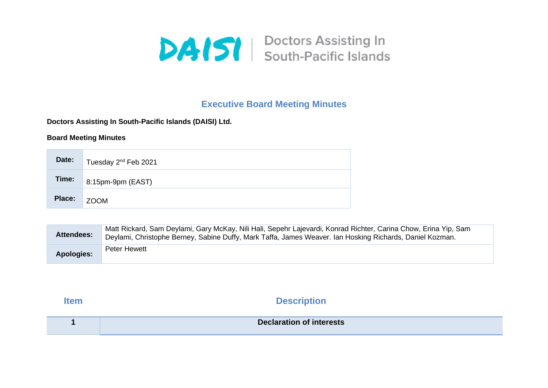

## **Executive Board Meeting Minutes**

**Doctors Assisting In South-Pacific Islands (DAISI) Ltd.**

## **Board Meeting Minutes**

| Date:       | Tuesday 2 <sup>nd</sup> Feb 2021 |
|-------------|----------------------------------|
| Time:       | $8:15$ pm-9pm (EAST)             |
| Place: ZOOM |                                  |

| Attendees:        | Matt Rickard, Sam Deylami, Gary McKay, Nili Hali, Sepehr Lajevardi, Konrad Richter, Carina Chow, Erina Yip, Sam<br>Deylami, Christophe Berney, Sabine Duffy, Mark Taffa, James Weaver. Ian Hosking Richards, Daniel Kozman. |
|-------------------|-----------------------------------------------------------------------------------------------------------------------------------------------------------------------------------------------------------------------------|
| <b>Apologies:</b> | Peter Hewett                                                                                                                                                                                                                |

**Item Description** 

| <b>Declaration of interests</b> |
|---------------------------------|
|                                 |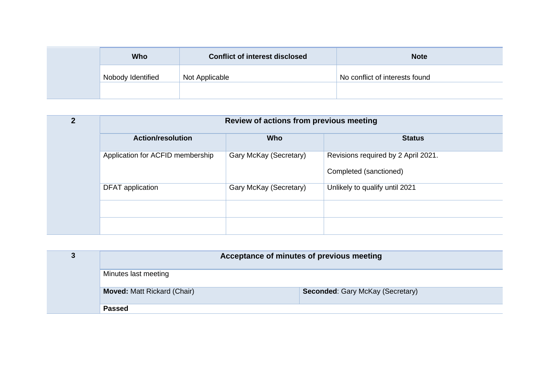| <b>Who</b>        | <b>Conflict of interest disclosed</b> | <b>Note</b>                    |
|-------------------|---------------------------------------|--------------------------------|
| Nobody Identified | Not Applicable                        | No conflict of interests found |
|                   |                                       |                                |

| C | Review of actions from previous meeting |                        |                                                               |
|---|-----------------------------------------|------------------------|---------------------------------------------------------------|
|   | <b>Action/resolution</b>                | <b>Who</b>             | <b>Status</b>                                                 |
|   | Application for ACFID membership        | Gary McKay (Secretary) | Revisions required by 2 April 2021.<br>Completed (sanctioned) |
|   | DFAT application                        | Gary McKay (Secretary) | Unlikely to qualify until 2021                                |
|   |                                         |                        |                                                               |

| Acceptance of minutes of previous meeting |                                         |  |
|-------------------------------------------|-----------------------------------------|--|
| Minutes last meeting                      |                                         |  |
| <b>Moved: Matt Rickard (Chair)</b>        | <b>Seconded: Gary McKay (Secretary)</b> |  |
| <b>Passed</b>                             |                                         |  |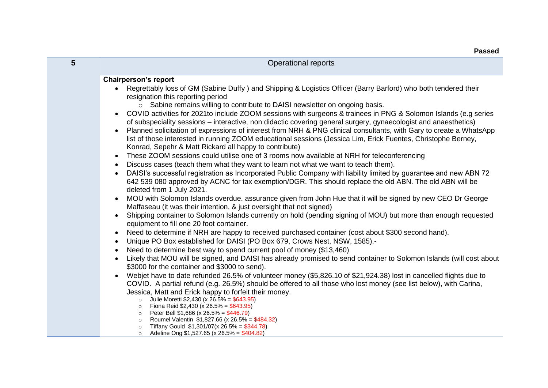|                | <b>Passed</b>                                                                                                                                                                                                                                                                                                                                                                                                                                                                                                                                                                                                                                                                                                                                                                                                                                                                                                                                                                                                                                                                                                                                                                                                                                                                                                                                                                                                                                                                                                                                                                                                                                                                                                                                                                                                                                                                                                                                                                                                                                                                                                                                                                                                                                                                                                                                                                                                                                                                                                                                                                                                                                                                                                                    |
|----------------|----------------------------------------------------------------------------------------------------------------------------------------------------------------------------------------------------------------------------------------------------------------------------------------------------------------------------------------------------------------------------------------------------------------------------------------------------------------------------------------------------------------------------------------------------------------------------------------------------------------------------------------------------------------------------------------------------------------------------------------------------------------------------------------------------------------------------------------------------------------------------------------------------------------------------------------------------------------------------------------------------------------------------------------------------------------------------------------------------------------------------------------------------------------------------------------------------------------------------------------------------------------------------------------------------------------------------------------------------------------------------------------------------------------------------------------------------------------------------------------------------------------------------------------------------------------------------------------------------------------------------------------------------------------------------------------------------------------------------------------------------------------------------------------------------------------------------------------------------------------------------------------------------------------------------------------------------------------------------------------------------------------------------------------------------------------------------------------------------------------------------------------------------------------------------------------------------------------------------------------------------------------------------------------------------------------------------------------------------------------------------------------------------------------------------------------------------------------------------------------------------------------------------------------------------------------------------------------------------------------------------------------------------------------------------------------------------------------------------------|
| $5\phantom{1}$ | <b>Operational reports</b>                                                                                                                                                                                                                                                                                                                                                                                                                                                                                                                                                                                                                                                                                                                                                                                                                                                                                                                                                                                                                                                                                                                                                                                                                                                                                                                                                                                                                                                                                                                                                                                                                                                                                                                                                                                                                                                                                                                                                                                                                                                                                                                                                                                                                                                                                                                                                                                                                                                                                                                                                                                                                                                                                                       |
|                | <b>Chairperson's report</b><br>Regrettably loss of GM (Sabine Duffy) and Shipping & Logistics Officer (Barry Barford) who both tendered their<br>resignation this reporting period<br>o Sabine remains willing to contribute to DAISI newsletter on ongoing basis.<br>COVID activities for 2021 to include ZOOM sessions with surgeons & trainees in PNG & Solomon Islands (e.g series<br>of subspeciality sessions – interactive, non didactic covering general surgery, gynaecologist and anaesthetics)<br>Planned solicitation of expressions of interest from NRH & PNG clinical consultants, with Gary to create a WhatsApp<br>list of those interested in running ZOOM educational sessions (Jessica Lim, Erick Fuentes, Christophe Berney,<br>Konrad, Sepehr & Matt Rickard all happy to contribute)<br>These ZOOM sessions could utilise one of 3 rooms now available at NRH for teleconferencing<br>Discuss cases (teach them what they want to learn not what we want to teach them).<br>$\bullet$<br>DAISI's successful registration as Incorporated Public Company with liability limited by guarantee and new ABN 72<br>$\bullet$<br>642 539 080 approved by ACNC for tax exemption/DGR. This should replace the old ABN. The old ABN will be<br>deleted from 1 July 2021.<br>MOU with Solomon Islands overdue. assurance given from John Hue that it will be signed by new CEO Dr George<br>Maffaseau (it was their intention, & just oversight that not signed)<br>Shipping container to Solomon Islands currently on hold (pending signing of MOU) but more than enough requested<br>$\bullet$<br>equipment to fill one 20 foot container.<br>Need to determine if NRH are happy to received purchased container (cost about \$300 second hand).<br>$\bullet$<br>Unique PO Box established for DAISI (PO Box 679, Crows Nest, NSW, 1585).<br>$\bullet$<br>Need to determine best way to spend current pool of money (\$13,460)<br>$\bullet$<br>Likely that MOU will be signed, and DAISI has already promised to send container to Solomon Islands (will cost about<br>$\bullet$<br>\$3000 for the container and \$3000 to send).<br>Webjet have to date refunded 26.5% of volunteer money (\$5,826.10 of \$21,924.38) lost in cancelled flights due to<br>COVID. A partial refund (e.g. 26.5%) should be offered to all those who lost money (see list below), with Carina,<br>Jessica, Matt and Erick happy to forfeit their money.<br>o Julie Moretti \$2,430 (x 26.5% = \$643.95)<br>• Fiona Reid $$2,430$ (x 26.5% = \$643.95)<br>$\circ$ Peter Bell \$1,686 (x 26.5% = \$446.79)<br>Roumel Valentin \$1,827.66 (x 26.5% = \$484.32)<br>$\circ$<br>Tiffany Gould $$1,301/07(x 26.5\% = $344.78)$<br>$\circ$ |
|                | Adeline Ong \$1,527.65 (x 26.5% = \$404.82)<br>$\circ$                                                                                                                                                                                                                                                                                                                                                                                                                                                                                                                                                                                                                                                                                                                                                                                                                                                                                                                                                                                                                                                                                                                                                                                                                                                                                                                                                                                                                                                                                                                                                                                                                                                                                                                                                                                                                                                                                                                                                                                                                                                                                                                                                                                                                                                                                                                                                                                                                                                                                                                                                                                                                                                                           |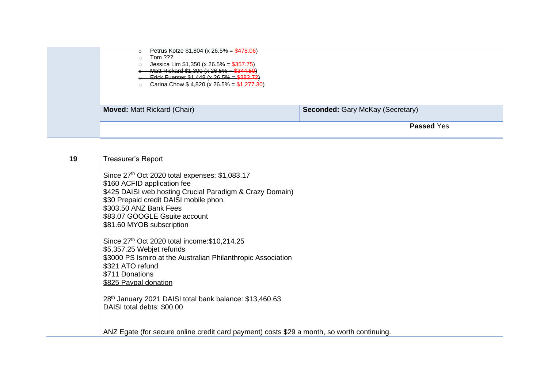| Petrus Kotze $$1,804$ (x 26.5% = $$478.06$ )<br>$\circ$<br>Tom ???<br>$\circ$<br>Jessica Lim $$1,350$ (x 26.5% = $$357.75$ )<br>Matt Rickard $$1,300$ (x 26.5% = $$344.50$ )<br>Erick Fuentes $$1,448$ (x 26.5% = \$383.72) |  |
|-----------------------------------------------------------------------------------------------------------------------------------------------------------------------------------------------------------------------------|--|
| Carina Chow $$4,820$ (x 26.5% = $$1,277.30$ )                                                                                                                                                                               |  |
| <b>Seconded: Gary McKay (Secretary)</b><br><b>Moved: Matt Rickard (Chair)</b>                                                                                                                                               |  |
| <b>Passed Yes</b>                                                                                                                                                                                                           |  |

## 19 | Treasurer's Report

Since 27<sup>th</sup> Oct 2020 total expenses: \$1,083.17 \$160 ACFID application fee \$425 DAISI web hosting Crucial Paradigm & Crazy Domain) \$30 Prepaid credit DAISI mobile phon. \$303.50 ANZ Bank Fees \$83.07 GOOGLE Gsuite account \$81.60 MYOB subscription

Since 27<sup>th</sup> Oct 2020 total income: \$10,214.25 \$5,357.25 Webjet refunds \$3000 PS Ismiro at the Australian Philanthropic Association \$321 ATO refund \$711 Donations \$825 Paypal donation

28<sup>th</sup> January 2021 DAISI total bank balance: \$13,460.63 DAISI total debts: \$00.00

ANZ Egate (for secure online credit card payment) costs \$29 a month, so worth continuing.